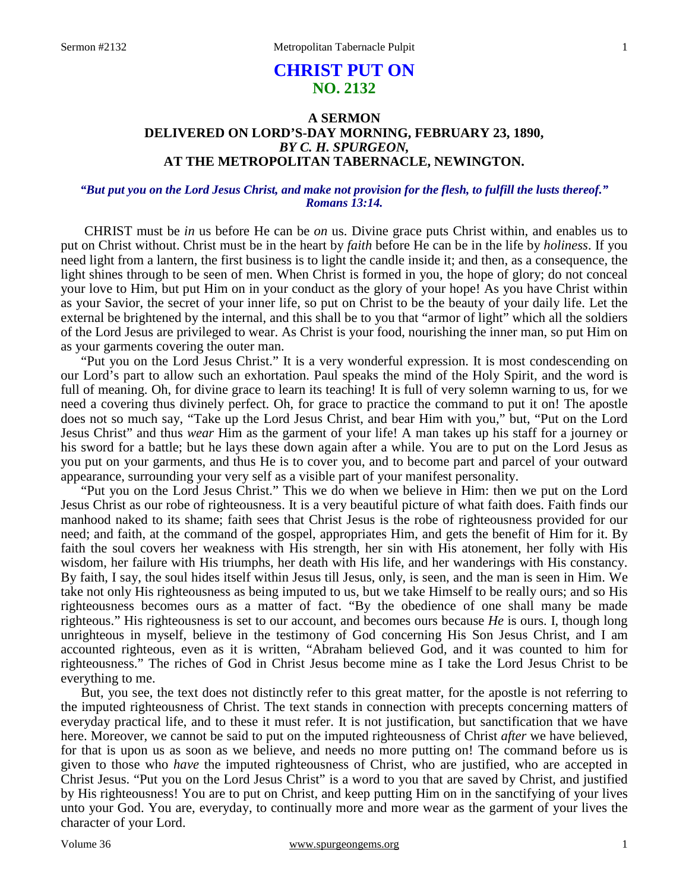# **CHRIST PUT ON NO. 2132**

## **A SERMON DELIVERED ON LORD'S-DAY MORNING, FEBRUARY 23, 1890,** *BY C. H. SPURGEON,*  **AT THE METROPOLITAN TABERNACLE, NEWINGTON.**

### *"But put you on the Lord Jesus Christ, and make not provision for the flesh, to fulfill the lusts thereof." Romans 13:14.*

CHRIST must be *in* us before He can be *on* us. Divine grace puts Christ within, and enables us to put on Christ without. Christ must be in the heart by *faith* before He can be in the life by *holiness*. If you need light from a lantern, the first business is to light the candle inside it; and then, as a consequence, the light shines through to be seen of men. When Christ is formed in you, the hope of glory; do not conceal your love to Him, but put Him on in your conduct as the glory of your hope! As you have Christ within as your Savior, the secret of your inner life, so put on Christ to be the beauty of your daily life. Let the external be brightened by the internal, and this shall be to you that "armor of light" which all the soldiers of the Lord Jesus are privileged to wear. As Christ is your food, nourishing the inner man, so put Him on as your garments covering the outer man.

 "Put you on the Lord Jesus Christ." It is a very wonderful expression. It is most condescending on our Lord's part to allow such an exhortation. Paul speaks the mind of the Holy Spirit, and the word is full of meaning. Oh, for divine grace to learn its teaching! It is full of very solemn warning to us, for we need a covering thus divinely perfect. Oh, for grace to practice the command to put it on! The apostle does not so much say, "Take up the Lord Jesus Christ, and bear Him with you," but, "Put on the Lord Jesus Christ" and thus *wear* Him as the garment of your life! A man takes up his staff for a journey or his sword for a battle; but he lays these down again after a while. You are to put on the Lord Jesus as you put on your garments, and thus He is to cover you, and to become part and parcel of your outward appearance, surrounding your very self as a visible part of your manifest personality.

 "Put you on the Lord Jesus Christ." This we do when we believe in Him: then we put on the Lord Jesus Christ as our robe of righteousness. It is a very beautiful picture of what faith does. Faith finds our manhood naked to its shame; faith sees that Christ Jesus is the robe of righteousness provided for our need; and faith, at the command of the gospel, appropriates Him, and gets the benefit of Him for it. By faith the soul covers her weakness with His strength, her sin with His atonement, her folly with His wisdom, her failure with His triumphs, her death with His life, and her wanderings with His constancy. By faith, I say, the soul hides itself within Jesus till Jesus, only, is seen, and the man is seen in Him. We take not only His righteousness as being imputed to us, but we take Himself to be really ours; and so His righteousness becomes ours as a matter of fact. "By the obedience of one shall many be made righteous." His righteousness is set to our account, and becomes ours because *He* is ours. I, though long unrighteous in myself, believe in the testimony of God concerning His Son Jesus Christ, and I am accounted righteous, even as it is written, "Abraham believed God, and it was counted to him for righteousness." The riches of God in Christ Jesus become mine as I take the Lord Jesus Christ to be everything to me.

 But, you see, the text does not distinctly refer to this great matter, for the apostle is not referring to the imputed righteousness of Christ. The text stands in connection with precepts concerning matters of everyday practical life, and to these it must refer. It is not justification, but sanctification that we have here. Moreover, we cannot be said to put on the imputed righteousness of Christ *after* we have believed, for that is upon us as soon as we believe, and needs no more putting on! The command before us is given to those who *have* the imputed righteousness of Christ, who are justified, who are accepted in Christ Jesus. "Put you on the Lord Jesus Christ" is a word to you that are saved by Christ, and justified by His righteousness! You are to put on Christ, and keep putting Him on in the sanctifying of your lives unto your God. You are, everyday, to continually more and more wear as the garment of your lives the character of your Lord.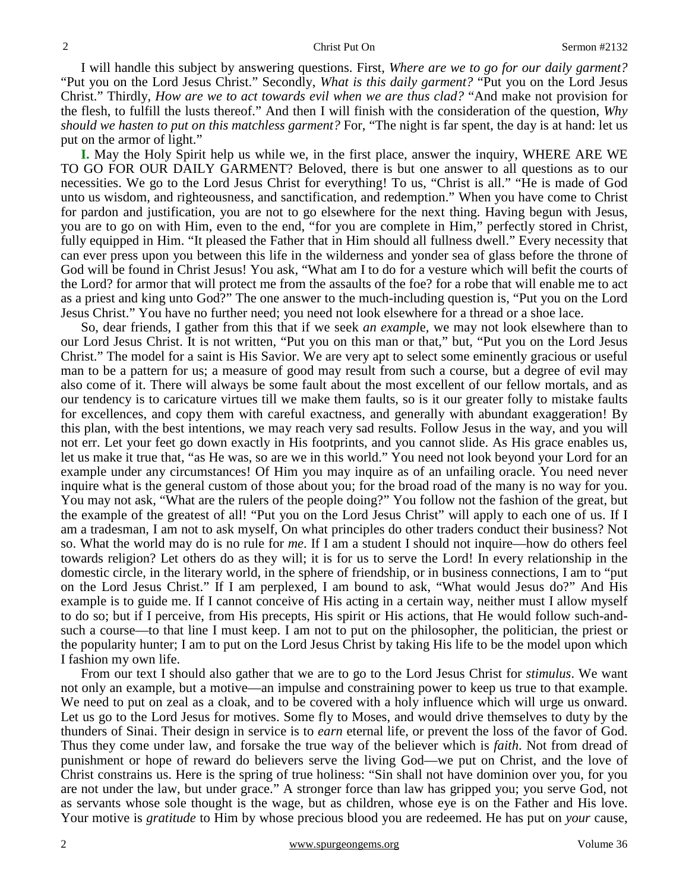I will handle this subject by answering questions. First, *Where are we to go for our daily garment?*  "Put you on the Lord Jesus Christ." Secondly, *What is this daily garment?* "Put you on the Lord Jesus Christ." Thirdly, *How are we to act towards evil when we are thus clad?* "And make not provision for the flesh, to fulfill the lusts thereof." And then I will finish with the consideration of the question, *Why should we hasten to put on this matchless garment?* For, "The night is far spent, the day is at hand: let us put on the armor of light."

**I.** May the Holy Spirit help us while we, in the first place, answer the inquiry, WHERE ARE WE TO GO FOR OUR DAILY GARMENT? Beloved, there is but one answer to all questions as to our necessities. We go to the Lord Jesus Christ for everything! To us, "Christ is all." "He is made of God unto us wisdom, and righteousness, and sanctification, and redemption." When you have come to Christ for pardon and justification, you are not to go elsewhere for the next thing. Having begun with Jesus, you are to go on with Him, even to the end, "for you are complete in Him," perfectly stored in Christ, fully equipped in Him. "It pleased the Father that in Him should all fullness dwell." Every necessity that can ever press upon you between this life in the wilderness and yonder sea of glass before the throne of God will be found in Christ Jesus! You ask, "What am I to do for a vesture which will befit the courts of the Lord? for armor that will protect me from the assaults of the foe? for a robe that will enable me to act as a priest and king unto God?" The one answer to the much-including question is, "Put you on the Lord Jesus Christ." You have no further need; you need not look elsewhere for a thread or a shoe lace.

 So, dear friends, I gather from this that if we seek *an exampl*e*,* we may not look elsewhere than to our Lord Jesus Christ. It is not written, "Put you on this man or that," but, "Put you on the Lord Jesus Christ." The model for a saint is His Savior. We are very apt to select some eminently gracious or useful man to be a pattern for us; a measure of good may result from such a course, but a degree of evil may also come of it. There will always be some fault about the most excellent of our fellow mortals, and as our tendency is to caricature virtues till we make them faults, so is it our greater folly to mistake faults for excellences, and copy them with careful exactness, and generally with abundant exaggeration! By this plan, with the best intentions, we may reach very sad results. Follow Jesus in the way, and you will not err. Let your feet go down exactly in His footprints, and you cannot slide. As His grace enables us, let us make it true that, "as He was, so are we in this world." You need not look beyond your Lord for an example under any circumstances! Of Him you may inquire as of an unfailing oracle. You need never inquire what is the general custom of those about you; for the broad road of the many is no way for you. You may not ask, "What are the rulers of the people doing?" You follow not the fashion of the great, but the example of the greatest of all! "Put you on the Lord Jesus Christ" will apply to each one of us. If I am a tradesman, I am not to ask myself, On what principles do other traders conduct their business? Not so. What the world may do is no rule for *me*. If I am a student I should not inquire—how do others feel towards religion? Let others do as they will; it is for us to serve the Lord! In every relationship in the domestic circle, in the literary world, in the sphere of friendship, or in business connections, I am to "put on the Lord Jesus Christ." If I am perplexed, I am bound to ask, "What would Jesus do?" And His example is to guide me. If I cannot conceive of His acting in a certain way, neither must I allow myself to do so; but if I perceive, from His precepts, His spirit or His actions, that He would follow such-andsuch a course—to that line I must keep. I am not to put on the philosopher, the politician, the priest or the popularity hunter; I am to put on the Lord Jesus Christ by taking His life to be the model upon which I fashion my own life.

 From our text I should also gather that we are to go to the Lord Jesus Christ for *stimulus*. We want not only an example, but a motive—an impulse and constraining power to keep us true to that example. We need to put on zeal as a cloak, and to be covered with a holy influence which will urge us onward. Let us go to the Lord Jesus for motives. Some fly to Moses, and would drive themselves to duty by the thunders of Sinai. Their design in service is to *earn* eternal life, or prevent the loss of the favor of God. Thus they come under law, and forsake the true way of the believer which is *faith*. Not from dread of punishment or hope of reward do believers serve the living God—we put on Christ, and the love of Christ constrains us. Here is the spring of true holiness: "Sin shall not have dominion over you, for you are not under the law, but under grace." A stronger force than law has gripped you; you serve God, not as servants whose sole thought is the wage, but as children, whose eye is on the Father and His love. Your motive is *gratitude* to Him by whose precious blood you are redeemed. He has put on *your* cause,

2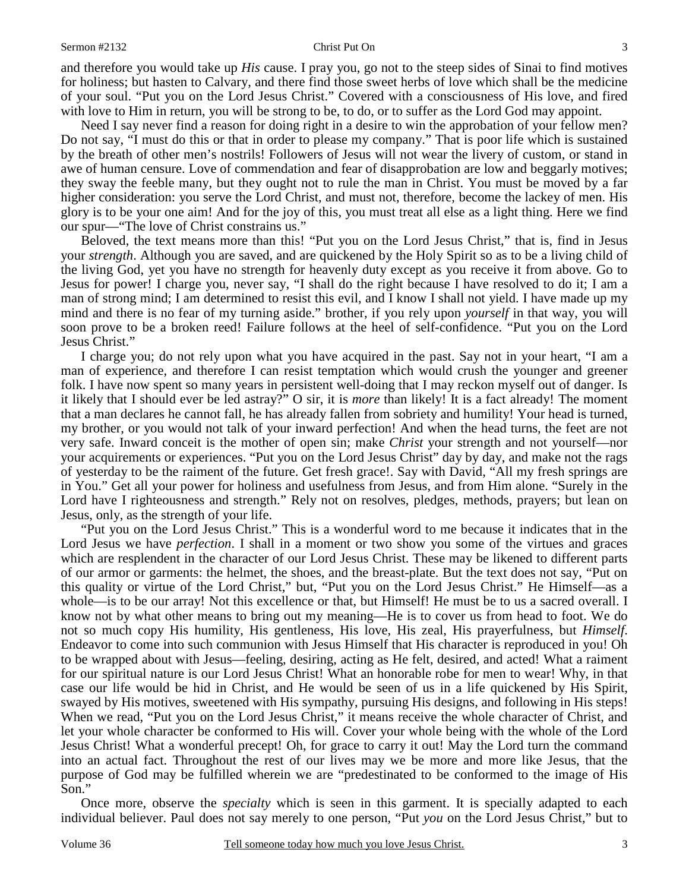and therefore you would take up *His* cause. I pray you, go not to the steep sides of Sinai to find motives for holiness; but hasten to Calvary, and there find those sweet herbs of love which shall be the medicine of your soul. "Put you on the Lord Jesus Christ." Covered with a consciousness of His love, and fired with love to Him in return, you will be strong to be, to do, or to suffer as the Lord God may appoint.

 Need I say never find a reason for doing right in a desire to win the approbation of your fellow men? Do not say, "I must do this or that in order to please my company." That is poor life which is sustained by the breath of other men's nostrils! Followers of Jesus will not wear the livery of custom, or stand in awe of human censure. Love of commendation and fear of disapprobation are low and beggarly motives; they sway the feeble many, but they ought not to rule the man in Christ. You must be moved by a far higher consideration: you serve the Lord Christ, and must not, therefore, become the lackey of men. His glory is to be your one aim! And for the joy of this, you must treat all else as a light thing. Here we find our spur—"The love of Christ constrains us."

 Beloved, the text means more than this! "Put you on the Lord Jesus Christ," that is, find in Jesus your *strength*. Although you are saved, and are quickened by the Holy Spirit so as to be a living child of the living God, yet you have no strength for heavenly duty except as you receive it from above. Go to Jesus for power! I charge you, never say, "I shall do the right because I have resolved to do it; I am a man of strong mind; I am determined to resist this evil, and I know I shall not yield. I have made up my mind and there is no fear of my turning aside." brother, if you rely upon *yourself* in that way, you will soon prove to be a broken reed! Failure follows at the heel of self-confidence. "Put you on the Lord Jesus Christ."

 I charge you; do not rely upon what you have acquired in the past. Say not in your heart, "I am a man of experience, and therefore I can resist temptation which would crush the younger and greener folk. I have now spent so many years in persistent well-doing that I may reckon myself out of danger. Is it likely that I should ever be led astray?" O sir, it is *more* than likely! It is a fact already! The moment that a man declares he cannot fall, he has already fallen from sobriety and humility! Your head is turned, my brother, or you would not talk of your inward perfection! And when the head turns, the feet are not very safe. Inward conceit is the mother of open sin; make *Christ* your strength and not yourself—nor your acquirements or experiences. "Put you on the Lord Jesus Christ" day by day, and make not the rags of yesterday to be the raiment of the future. Get fresh grace!. Say with David, "All my fresh springs are in You." Get all your power for holiness and usefulness from Jesus, and from Him alone. "Surely in the Lord have I righteousness and strength." Rely not on resolves, pledges, methods, prayers; but lean on Jesus, only, as the strength of your life.

 "Put you on the Lord Jesus Christ." This is a wonderful word to me because it indicates that in the Lord Jesus we have *perfection*. I shall in a moment or two show you some of the virtues and graces which are resplendent in the character of our Lord Jesus Christ. These may be likened to different parts of our armor or garments: the helmet, the shoes, and the breast-plate. But the text does not say, "Put on this quality or virtue of the Lord Christ," but, "Put you on the Lord Jesus Christ." He Himself—as a whole—is to be our array! Not this excellence or that, but Himself! He must be to us a sacred overall. I know not by what other means to bring out my meaning—He is to cover us from head to foot. We do not so much copy His humility, His gentleness, His love, His zeal, His prayerfulness, but *Himself*. Endeavor to come into such communion with Jesus Himself that His character is reproduced in you! Oh to be wrapped about with Jesus—feeling, desiring, acting as He felt, desired, and acted! What a raiment for our spiritual nature is our Lord Jesus Christ! What an honorable robe for men to wear! Why, in that case our life would be hid in Christ, and He would be seen of us in a life quickened by His Spirit, swayed by His motives, sweetened with His sympathy, pursuing His designs, and following in His steps! When we read, "Put you on the Lord Jesus Christ," it means receive the whole character of Christ, and let your whole character be conformed to His will. Cover your whole being with the whole of the Lord Jesus Christ! What a wonderful precept! Oh, for grace to carry it out! May the Lord turn the command into an actual fact. Throughout the rest of our lives may we be more and more like Jesus, that the purpose of God may be fulfilled wherein we are "predestinated to be conformed to the image of His Son."

 Once more, observe the *specialty* which is seen in this garment. It is specially adapted to each individual believer. Paul does not say merely to one person, "Put *you* on the Lord Jesus Christ," but to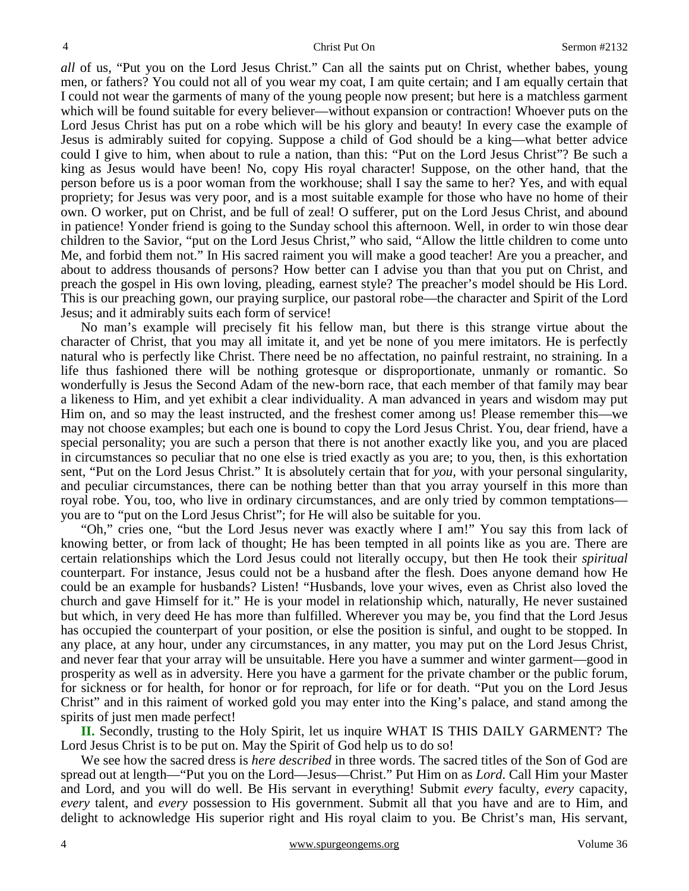*all* of us, "Put you on the Lord Jesus Christ." Can all the saints put on Christ, whether babes, young men, or fathers? You could not all of you wear my coat, I am quite certain; and I am equally certain that I could not wear the garments of many of the young people now present; but here is a matchless garment which will be found suitable for every believer—without expansion or contraction! Whoever puts on the Lord Jesus Christ has put on a robe which will be his glory and beauty! In every case the example of Jesus is admirably suited for copying. Suppose a child of God should be a king—what better advice could I give to him, when about to rule a nation, than this: "Put on the Lord Jesus Christ"? Be such a king as Jesus would have been! No, copy His royal character! Suppose, on the other hand, that the person before us is a poor woman from the workhouse; shall I say the same to her? Yes, and with equal propriety; for Jesus was very poor, and is a most suitable example for those who have no home of their own. O worker, put on Christ, and be full of zeal! O sufferer, put on the Lord Jesus Christ, and abound in patience! Yonder friend is going to the Sunday school this afternoon. Well, in order to win those dear children to the Savior, "put on the Lord Jesus Christ," who said, "Allow the little children to come unto Me, and forbid them not." In His sacred raiment you will make a good teacher! Are you a preacher, and about to address thousands of persons? How better can I advise you than that you put on Christ, and preach the gospel in His own loving, pleading, earnest style? The preacher's model should be His Lord. This is our preaching gown, our praying surplice, our pastoral robe—the character and Spirit of the Lord Jesus; and it admirably suits each form of service!

 No man's example will precisely fit his fellow man, but there is this strange virtue about the character of Christ, that you may all imitate it, and yet be none of you mere imitators. He is perfectly natural who is perfectly like Christ. There need be no affectation, no painful restraint, no straining. In a life thus fashioned there will be nothing grotesque or disproportionate, unmanly or romantic. So wonderfully is Jesus the Second Adam of the new-born race, that each member of that family may bear a likeness to Him, and yet exhibit a clear individuality. A man advanced in years and wisdom may put Him on, and so may the least instructed, and the freshest comer among us! Please remember this—we may not choose examples; but each one is bound to copy the Lord Jesus Christ. You, dear friend, have a special personality; you are such a person that there is not another exactly like you, and you are placed in circumstances so peculiar that no one else is tried exactly as you are; to you, then, is this exhortation sent, "Put on the Lord Jesus Christ." It is absolutely certain that for *you,* with your personal singularity, and peculiar circumstances, there can be nothing better than that you array yourself in this more than royal robe. You, too, who live in ordinary circumstances, and are only tried by common temptations you are to "put on the Lord Jesus Christ"; for He will also be suitable for you.

 "Oh," cries one, "but the Lord Jesus never was exactly where I am!" You say this from lack of knowing better, or from lack of thought; He has been tempted in all points like as you are. There are certain relationships which the Lord Jesus could not literally occupy, but then He took their *spiritual* counterpart. For instance, Jesus could not be a husband after the flesh. Does anyone demand how He could be an example for husbands? Listen! "Husbands, love your wives, even as Christ also loved the church and gave Himself for it." He is your model in relationship which, naturally, He never sustained but which, in very deed He has more than fulfilled. Wherever you may be, you find that the Lord Jesus has occupied the counterpart of your position, or else the position is sinful, and ought to be stopped. In any place, at any hour, under any circumstances, in any matter, you may put on the Lord Jesus Christ, and never fear that your array will be unsuitable. Here you have a summer and winter garment—good in prosperity as well as in adversity. Here you have a garment for the private chamber or the public forum, for sickness or for health, for honor or for reproach, for life or for death. "Put you on the Lord Jesus Christ" and in this raiment of worked gold you may enter into the King's palace, and stand among the spirits of just men made perfect!

**II.** Secondly, trusting to the Holy Spirit, let us inquire WHAT IS THIS DAILY GARMENT? The Lord Jesus Christ is to be put on. May the Spirit of God help us to do so!

 We see how the sacred dress is *here described* in three words. The sacred titles of the Son of God are spread out at length—"Put you on the Lord—Jesus—Christ." Put Him on as *Lord*. Call Him your Master and Lord, and you will do well. Be His servant in everything! Submit *every* faculty, *every* capacity, *every* talent, and *every* possession to His government. Submit all that you have and are to Him, and delight to acknowledge His superior right and His royal claim to you. Be Christ's man, His servant,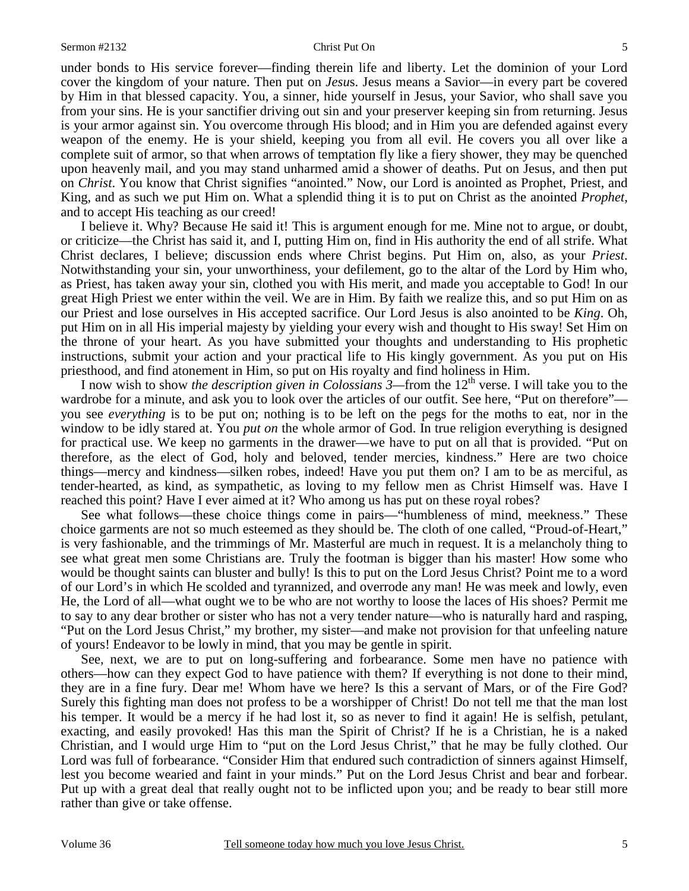under bonds to His service forever—finding therein life and liberty. Let the dominion of your Lord cover the kingdom of your nature. Then put on *Jesu*s. Jesus means a Savior—in every part be covered by Him in that blessed capacity. You, a sinner, hide yourself in Jesus, your Savior, who shall save you from your sins. He is your sanctifier driving out sin and your preserver keeping sin from returning. Jesus is your armor against sin. You overcome through His blood; and in Him you are defended against every weapon of the enemy. He is your shield, keeping you from all evil. He covers you all over like a complete suit of armor, so that when arrows of temptation fly like a fiery shower, they may be quenched upon heavenly mail, and you may stand unharmed amid a shower of deaths. Put on Jesus, and then put on *Christ*. You know that Christ signifies "anointed." Now, our Lord is anointed as Prophet, Priest, and King, and as such we put Him on. What a splendid thing it is to put on Christ as the anointed *Prophet,* and to accept His teaching as our creed!

 I believe it. Why? Because He said it! This is argument enough for me. Mine not to argue, or doubt, or criticize—the Christ has said it, and I, putting Him on, find in His authority the end of all strife. What Christ declares, I believe; discussion ends where Christ begins. Put Him on, also, as your *Priest*. Notwithstanding your sin, your unworthiness, your defilement, go to the altar of the Lord by Him who, as Priest, has taken away your sin, clothed you with His merit, and made you acceptable to God! In our great High Priest we enter within the veil. We are in Him. By faith we realize this, and so put Him on as our Priest and lose ourselves in His accepted sacrifice. Our Lord Jesus is also anointed to be *King*. Oh, put Him on in all His imperial majesty by yielding your every wish and thought to His sway! Set Him on the throne of your heart. As you have submitted your thoughts and understanding to His prophetic instructions, submit your action and your practical life to His kingly government. As you put on His priesthood, and find atonement in Him, so put on His royalty and find holiness in Him.

I now wish to show *the description given in Colossians* 3—from the 12<sup>th</sup> verse. I will take you to the wardrobe for a minute, and ask you to look over the articles of our outfit. See here, "Put on therefore" you see *everything* is to be put on; nothing is to be left on the pegs for the moths to eat, nor in the window to be idly stared at. You *put on* the whole armor of God. In true religion everything is designed for practical use. We keep no garments in the drawer—we have to put on all that is provided. "Put on therefore, as the elect of God, holy and beloved, tender mercies, kindness." Here are two choice things—mercy and kindness—silken robes, indeed! Have you put them on? I am to be as merciful, as tender-hearted, as kind, as sympathetic, as loving to my fellow men as Christ Himself was. Have I reached this point? Have I ever aimed at it? Who among us has put on these royal robes?

 See what follows—these choice things come in pairs—"humbleness of mind, meekness." These choice garments are not so much esteemed as they should be. The cloth of one called, "Proud-of-Heart," is very fashionable, and the trimmings of Mr. Masterful are much in request. It is a melancholy thing to see what great men some Christians are. Truly the footman is bigger than his master! How some who would be thought saints can bluster and bully! Is this to put on the Lord Jesus Christ? Point me to a word of our Lord's in which He scolded and tyrannized, and overrode any man! He was meek and lowly, even He, the Lord of all—what ought we to be who are not worthy to loose the laces of His shoes? Permit me to say to any dear brother or sister who has not a very tender nature—who is naturally hard and rasping, "Put on the Lord Jesus Christ," my brother, my sister—and make not provision for that unfeeling nature of yours! Endeavor to be lowly in mind, that you may be gentle in spirit.

 See, next, we are to put on long-suffering and forbearance. Some men have no patience with others—how can they expect God to have patience with them? If everything is not done to their mind, they are in a fine fury. Dear me! Whom have we here? Is this a servant of Mars, or of the Fire God? Surely this fighting man does not profess to be a worshipper of Christ! Do not tell me that the man lost his temper. It would be a mercy if he had lost it, so as never to find it again! He is selfish, petulant, exacting, and easily provoked! Has this man the Spirit of Christ? If he is a Christian, he is a naked Christian, and I would urge Him to "put on the Lord Jesus Christ," that he may be fully clothed. Our Lord was full of forbearance. "Consider Him that endured such contradiction of sinners against Himself, lest you become wearied and faint in your minds." Put on the Lord Jesus Christ and bear and forbear. Put up with a great deal that really ought not to be inflicted upon you; and be ready to bear still more rather than give or take offense.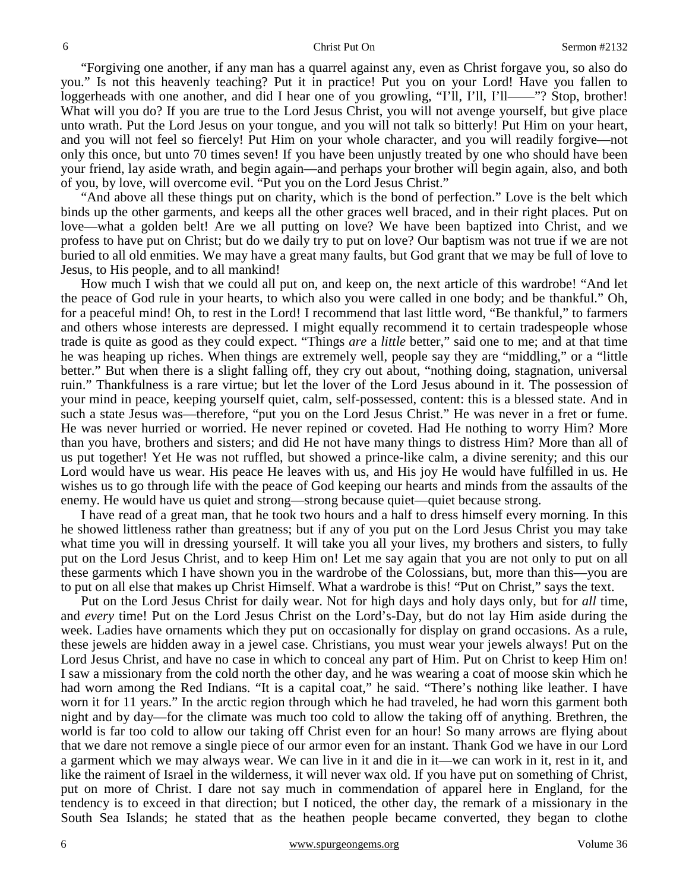"Forgiving one another, if any man has a quarrel against any, even as Christ forgave you, so also do you." Is not this heavenly teaching? Put it in practice! Put you on your Lord! Have you fallen to loggerheads with one another, and did I hear one of you growling, "I'll, I'll, I'll——"? Stop, brother! What will you do? If you are true to the Lord Jesus Christ, you will not avenge yourself, but give place unto wrath. Put the Lord Jesus on your tongue, and you will not talk so bitterly! Put Him on your heart, and you will not feel so fiercely! Put Him on your whole character, and you will readily forgive—not only this once, but unto 70 times seven! If you have been unjustly treated by one who should have been your friend, lay aside wrath, and begin again—and perhaps your brother will begin again, also, and both of you, by love, will overcome evil. "Put you on the Lord Jesus Christ."

 "And above all these things put on charity, which is the bond of perfection." Love is the belt which binds up the other garments, and keeps all the other graces well braced, and in their right places. Put on love—what a golden belt! Are we all putting on love? We have been baptized into Christ, and we profess to have put on Christ; but do we daily try to put on love? Our baptism was not true if we are not buried to all old enmities. We may have a great many faults, but God grant that we may be full of love to Jesus, to His people, and to all mankind!

 How much I wish that we could all put on, and keep on, the next article of this wardrobe! "And let the peace of God rule in your hearts, to which also you were called in one body; and be thankful." Oh, for a peaceful mind! Oh, to rest in the Lord! I recommend that last little word, "Be thankful," to farmers and others whose interests are depressed. I might equally recommend it to certain tradespeople whose trade is quite as good as they could expect. "Things *are* a *little* better," said one to me; and at that time he was heaping up riches. When things are extremely well, people say they are "middling," or a "little better." But when there is a slight falling off, they cry out about, "nothing doing, stagnation, universal ruin." Thankfulness is a rare virtue; but let the lover of the Lord Jesus abound in it. The possession of your mind in peace, keeping yourself quiet, calm, self-possessed, content: this is a blessed state. And in such a state Jesus was—therefore, "put you on the Lord Jesus Christ." He was never in a fret or fume. He was never hurried or worried. He never repined or coveted. Had He nothing to worry Him? More than you have, brothers and sisters; and did He not have many things to distress Him? More than all of us put together! Yet He was not ruffled, but showed a prince-like calm, a divine serenity; and this our Lord would have us wear. His peace He leaves with us, and His joy He would have fulfilled in us. He wishes us to go through life with the peace of God keeping our hearts and minds from the assaults of the enemy. He would have us quiet and strong—strong because quiet—quiet because strong.

 I have read of a great man, that he took two hours and a half to dress himself every morning. In this he showed littleness rather than greatness; but if any of you put on the Lord Jesus Christ you may take what time you will in dressing yourself. It will take you all your lives, my brothers and sisters, to fully put on the Lord Jesus Christ, and to keep Him on! Let me say again that you are not only to put on all these garments which I have shown you in the wardrobe of the Colossians, but, more than this—you are to put on all else that makes up Christ Himself. What a wardrobe is this! "Put on Christ," says the text.

 Put on the Lord Jesus Christ for daily wear. Not for high days and holy days only, but for *all* time, and *every* time! Put on the Lord Jesus Christ on the Lord's-Day, but do not lay Him aside during the week. Ladies have ornaments which they put on occasionally for display on grand occasions. As a rule, these jewels are hidden away in a jewel case. Christians, you must wear your jewels always! Put on the Lord Jesus Christ, and have no case in which to conceal any part of Him. Put on Christ to keep Him on! I saw a missionary from the cold north the other day, and he was wearing a coat of moose skin which he had worn among the Red Indians. "It is a capital coat," he said. "There's nothing like leather. I have worn it for 11 years." In the arctic region through which he had traveled, he had worn this garment both night and by day—for the climate was much too cold to allow the taking off of anything. Brethren, the world is far too cold to allow our taking off Christ even for an hour! So many arrows are flying about that we dare not remove a single piece of our armor even for an instant. Thank God we have in our Lord a garment which we may always wear. We can live in it and die in it—we can work in it, rest in it, and like the raiment of Israel in the wilderness, it will never wax old. If you have put on something of Christ, put on more of Christ. I dare not say much in commendation of apparel here in England, for the tendency is to exceed in that direction; but I noticed, the other day, the remark of a missionary in the South Sea Islands; he stated that as the heathen people became converted, they began to clothe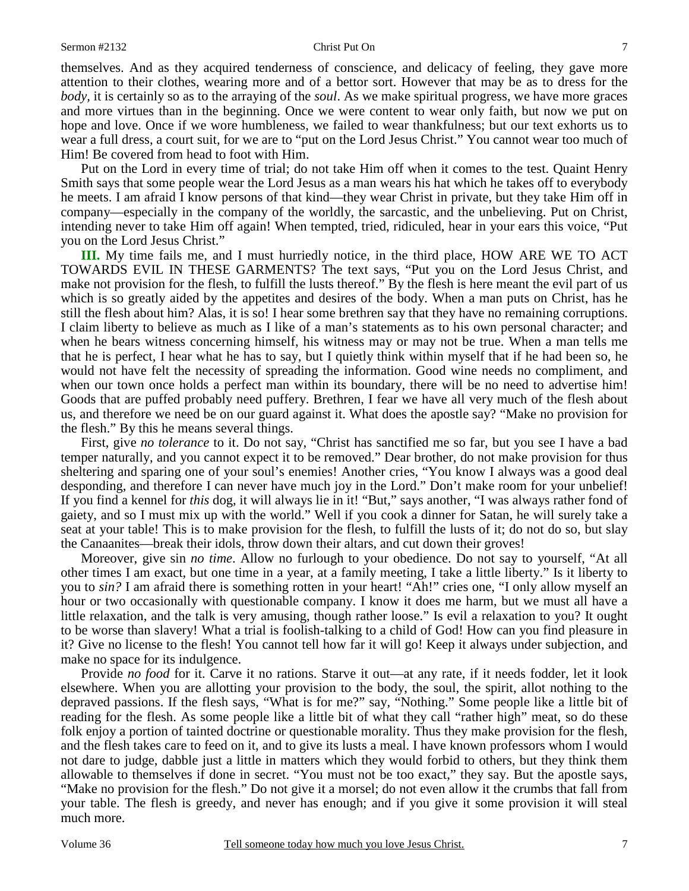themselves. And as they acquired tenderness of conscience, and delicacy of feeling, they gave more attention to their clothes, wearing more and of a bettor sort. However that may be as to dress for the *body,* it is certainly so as to the arraying of the *soul*. As we make spiritual progress, we have more graces and more virtues than in the beginning. Once we were content to wear only faith, but now we put on hope and love. Once if we wore humbleness, we failed to wear thankfulness; but our text exhorts us to wear a full dress, a court suit, for we are to "put on the Lord Jesus Christ." You cannot wear too much of Him! Be covered from head to foot with Him.

 Put on the Lord in every time of trial; do not take Him off when it comes to the test. Quaint Henry Smith says that some people wear the Lord Jesus as a man wears his hat which he takes off to everybody he meets. I am afraid I know persons of that kind—they wear Christ in private, but they take Him off in company—especially in the company of the worldly, the sarcastic, and the unbelieving. Put on Christ, intending never to take Him off again! When tempted, tried, ridiculed, hear in your ears this voice, "Put you on the Lord Jesus Christ."

**III.** My time fails me, and I must hurriedly notice, in the third place, HOW ARE WE TO ACT TOWARDS EVIL IN THESE GARMENTS? The text says, "Put you on the Lord Jesus Christ, and make not provision for the flesh, to fulfill the lusts thereof." By the flesh is here meant the evil part of us which is so greatly aided by the appetites and desires of the body. When a man puts on Christ, has he still the flesh about him? Alas, it is so! I hear some brethren say that they have no remaining corruptions. I claim liberty to believe as much as I like of a man's statements as to his own personal character; and when he bears witness concerning himself, his witness may or may not be true. When a man tells me that he is perfect, I hear what he has to say, but I quietly think within myself that if he had been so, he would not have felt the necessity of spreading the information. Good wine needs no compliment, and when our town once holds a perfect man within its boundary, there will be no need to advertise him! Goods that are puffed probably need puffery. Brethren, I fear we have all very much of the flesh about us, and therefore we need be on our guard against it. What does the apostle say? "Make no provision for the flesh." By this he means several things.

 First, give *no tolerance* to it. Do not say, "Christ has sanctified me so far, but you see I have a bad temper naturally, and you cannot expect it to be removed." Dear brother, do not make provision for thus sheltering and sparing one of your soul's enemies! Another cries, "You know I always was a good deal desponding, and therefore I can never have much joy in the Lord." Don't make room for your unbelief! If you find a kennel for *this* dog, it will always lie in it! "But," says another, "I was always rather fond of gaiety, and so I must mix up with the world." Well if you cook a dinner for Satan, he will surely take a seat at your table! This is to make provision for the flesh, to fulfill the lusts of it; do not do so, but slay the Canaanites—break their idols, throw down their altars, and cut down their groves!

 Moreover, give sin *no time*. Allow no furlough to your obedience. Do not say to yourself, "At all other times I am exact, but one time in a year, at a family meeting, I take a little liberty." Is it liberty to you to *sin?* I am afraid there is something rotten in your heart! "Ah!" cries one, "I only allow myself an hour or two occasionally with questionable company. I know it does me harm, but we must all have a little relaxation, and the talk is very amusing, though rather loose." Is evil a relaxation to you? It ought to be worse than slavery! What a trial is foolish-talking to a child of God! How can you find pleasure in it? Give no license to the flesh! You cannot tell how far it will go! Keep it always under subjection, and make no space for its indulgence.

 Provide *no food* for it. Carve it no rations. Starve it out—at any rate, if it needs fodder, let it look elsewhere. When you are allotting your provision to the body, the soul, the spirit, allot nothing to the depraved passions. If the flesh says, "What is for me?" say, "Nothing." Some people like a little bit of reading for the flesh. As some people like a little bit of what they call "rather high" meat, so do these folk enjoy a portion of tainted doctrine or questionable morality. Thus they make provision for the flesh, and the flesh takes care to feed on it, and to give its lusts a meal. I have known professors whom I would not dare to judge, dabble just a little in matters which they would forbid to others, but they think them allowable to themselves if done in secret. "You must not be too exact," they say. But the apostle says, "Make no provision for the flesh." Do not give it a morsel; do not even allow it the crumbs that fall from your table. The flesh is greedy, and never has enough; and if you give it some provision it will steal much more.